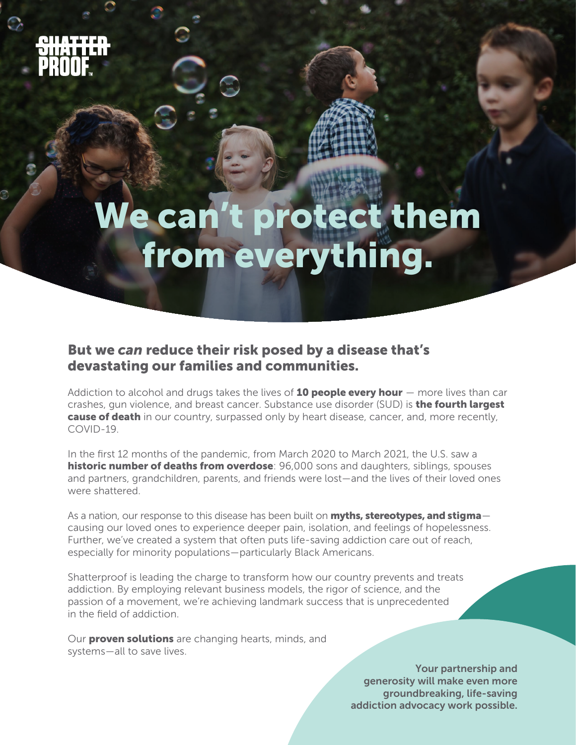$\bigcirc$ 

# We can't protect them from everything.

### But we *can* reduce their risk posed by a disease that's devastating our families and communities.

Addiction to alcohol and drugs takes the lives of  $10$  people every hour  $-$  more lives than car crashes, gun violence, and breast cancer. Substance use disorder (SUD) is the fourth largest cause of death in our country, surpassed only by heart disease, cancer, and, more recently, COVID-19.

In the first 12 months of the pandemic, from March 2020 to March 2021, the U.S. saw a historic number of deaths from overdose: 96,000 sons and daughters, siblings, spouses and partners, grandchildren, parents, and friends were lost—and the lives of their loved ones were shattered.

As a nation, our response to this disease has been built on **myths, stereotypes, and stigma** causing our loved ones to experience deeper pain, isolation, and feelings of hopelessness. Further, we've created a system that often puts life-saving addiction care out of reach, especially for minority populations—particularly Black Americans.

Shatterproof is leading the charge to transform how our country prevents and treats addiction. By employing relevant business models, the rigor of science, and the passion of a movement, we're achieving landmark success that is unprecedented in the field of addiction.

Our **proven solutions** are changing hearts, minds, and systems—all to save lives.

> Your partnership and generosity will make even more groundbreaking, life-saving addiction advocacy work possible.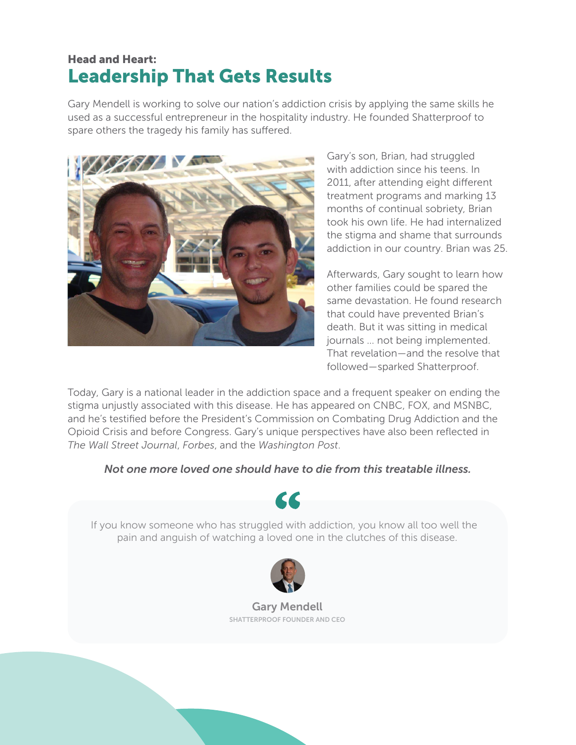## Leadership That Gets Results Head and Heart:

Gary Mendell is working to solve our nation's addiction crisis by applying the same skills he used as a successful entrepreneur in the hospitality industry. He founded Shatterproof to spare others the tragedy his family has suffered.



Gary's son, Brian, had struggled with addiction since his teens. In 2011, after attending eight different treatment programs and marking 13 months of continual sobriety, Brian took his own life. He had internalized the stigma and shame that surrounds addiction in our country. Brian was 25.

Afterwards, Gary sought to learn how other families could be spared the same devastation. He found research that could have prevented Brian's death. But it was sitting in medical journals … not being implemented. That revelation—and the resolve that followed—sparked Shatterproof.

Today, Gary is a national leader in the addiction space and a frequent speaker on ending the stigma unjustly associated with this disease. He has appeared on CNBC, FOX, and MSNBC, and he's testified before the President's Commission on Combating Drug Addiction and the Opioid Crisis and before Congress. Gary's unique perspectives have also been reflected in *The Wall Street Journal*, *Forbes*, and the *Washington Post*.

*Not one more loved one should have to die from this treatable illness.*



If you know someone who has struggled with addiction, you know all too well the pain and anguish of watching a loved one in the clutches of this disease.



Gary Mendell SHATTERPROOF FOUNDER AND CEO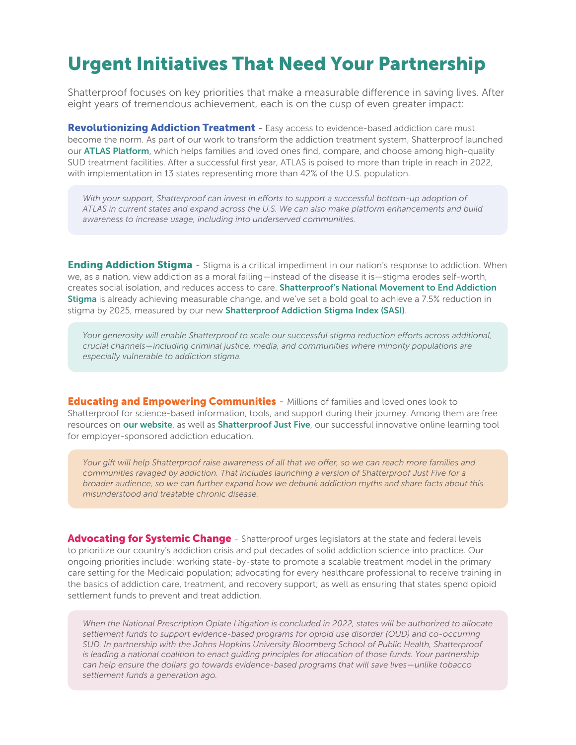# Urgent Initiatives That Need Your Partnership

Shatterproof focuses on key priorities that make a measurable difference in saving lives. After eight years of tremendous achievement, each is on the cusp of even greater impact:

**[Revolutionizing Addiction Treatment](https://www.shatterproof.org/our-work/revolutionizing-addiction-treatment)** - Easy access to evidence-based addiction care must become the norm. As part of our work to transform the addiction treatment system, Shatterproof launched our **[ATLAS Platform](https://www.treatmentatlas.org)**, which helps families and loved ones find, compare, and choose among high-quality SUD treatment facilities. After a successful first year, ATLAS is poised to more than triple in reach in 2022, with implementation in 13 states representing more than 42% of the U.S. population.

With your support, Shatterproof can invest in efforts to support a successful bottom-up adoption of *ATLAS in current states and expand across the U.S. We can also make platform enhancements and build awareness to increase usage, including into underserved communities.*

**[Ending Addiction Stigma](https://www.shatterproof.org/our-work/ending-addiction-stigma)** - Stigma is a critical impediment in our nation's response to addiction. When we, as a nation, view addiction as a moral failing—instead of the disease it is—stigma erodes self-worth, creates social isolation, and reduces access to care. [Shatterproof's National Movement to End Addiction](https://www.shatterproof.org/our-work/ending-addiction-stigma/plan-to-end-addiction-stigma)  [Stigma](https://www.shatterproof.org/our-work/ending-addiction-stigma/plan-to-end-addiction-stigma) is already achieving measurable change, and we've set a bold goal to achieve a 7.5% reduction in stigma by 2025, measured by our new [Shatterproof Addiction Stigma Index \(SASI\)](https://www.shatterproof.org/our-work/ending-addiction-stigma/shatterproof-addiction-stigma-Index).

*Your generosity will enable Shatterproof to scale our successful stigma reduction efforts across additional, crucial channels—including criminal justice, media, and communities where minority populations are especially vulnerable to addiction stigma.*

**[Educating and Empowering Communities](https://www.shatterproof.org/our-work/educating-and-empowering-communities)** - Millions of families and loved ones look to Shatterproof for science-based information, tools, and support during their journey. Among them are free resources on [our website](https://www.shatterproof.org), as well as [Shatterproof Just Five](https://justfive.org), our successful innovative online learning tool for employer-sponsored addiction education.

*Your gift will help Shatterproof raise awareness of all that we offer, so we can reach more families and communities ravaged by addiction. That includes launching a version of Shatterproof Just Five for a broader audience, so we can further expand how we debunk addiction myths and share facts about this misunderstood and treatable chronic disease.*

[Advocating for Systemic Change](https://www.shatterproof.org/our-work/advocacy) - Shatterproof urges legislators at the state and federal levels to prioritize our country's addiction crisis and put decades of solid addiction science into practice. Our ongoing priorities include: working state-by-state to promote a scalable treatment model in the primary care setting for the Medicaid population; advocating for every healthcare professional to receive training in the basics of addiction care, treatment, and recovery support; as well as ensuring that states spend opioid settlement funds to prevent and treat addiction.

*When the National Prescription Opiate Litigation is concluded in 2022, states will be authorized to allocate settlement funds to support evidence-based programs for opioid use disorder (OUD) and co-occurring SUD. In partnership with the Johns Hopkins University Bloomberg School of Public Health, Shatterproof is leading a national coalition to enact guiding principles for allocation of those funds. Your partnership can help ensure the dollars go towards evidence-based programs that will save lives—unlike tobacco settlement funds a generation ago.*